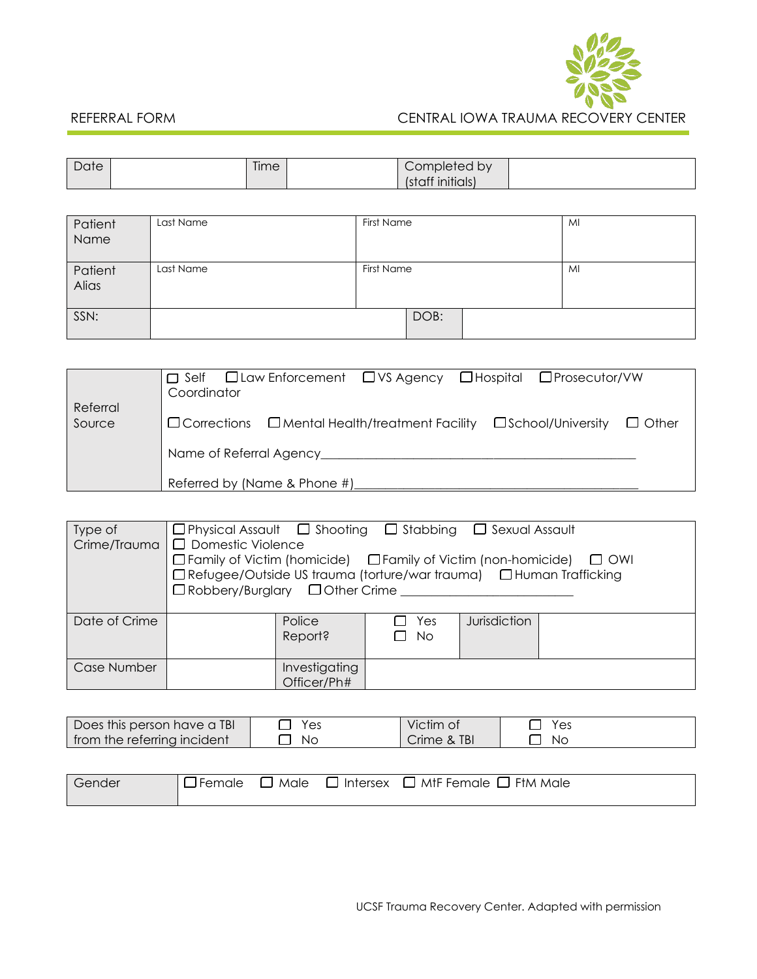

# REFERRAL FORM CENTRAL IOWA TRAUMA RECOVERY CENTER

| Date | $- -$ | <i>i</i> me | by<br>$. \cap m$<br><b>IDIGICA</b> |  |
|------|-------|-------------|------------------------------------|--|
|      |       |             | <br><b>INITIGIS</b>                |  |

| Patient<br>Name  | Last Name | First Name |      |    | MI |
|------------------|-----------|------------|------|----|----|
| Patient<br>Alias | Last Name | First Name |      | MI |    |
| SSN:             |           |            | DOB: |    |    |

|                    | □Law Enforcement □VS Agency □Hospital □Prosecutor/VW<br>$\sqcap$ Self<br>Coordinator                |
|--------------------|-----------------------------------------------------------------------------------------------------|
| Referral<br>Source | $\Box$ Corrections $\Box$ Mental Health/treatment Facility<br>$\Box$ School/University $\Box$ Other |
|                    |                                                                                                     |
|                    | Referred by (Name & Phone #)                                                                        |

| Type of<br>Crime/Trauma | $\Box$ Physical Assault $\Box$ Shooting $\Box$ Stabbing $\Box$ Sexual Assault<br>D Domestic Violence<br>$\Box$ Family of Victim (homicide) $\Box$ Family of Victim (non-homicide)<br>$\Box$ OWI<br>□ Refugee/Outside US trauma (torture/war trauma) □ Human Trafficking<br>$\Box$ Robbery/Burglary $\Box$ Other Crime |                              |                         |              |  |
|-------------------------|-----------------------------------------------------------------------------------------------------------------------------------------------------------------------------------------------------------------------------------------------------------------------------------------------------------------------|------------------------------|-------------------------|--------------|--|
| Date of Crime           |                                                                                                                                                                                                                                                                                                                       | Police<br>Report?            | $\Box$ Yes<br>$\Box$ No | Jurisdiction |  |
| Case Number             |                                                                                                                                                                                                                                                                                                                       | Investigating<br>Officer/Ph# |                         |              |  |

| Does this person have a TBI | Yes  | Victim of   | Yes |
|-----------------------------|------|-------------|-----|
| from the referring incident | . NC | Crime & TBI | Nс  |

| Gender | ∣□Female □ |  | $\sf J$ Male $\;\;\Box$ Intersex $\;\;\Box$ MtF Female $\;\Box$ FtM Male $\;$ |
|--------|------------|--|-------------------------------------------------------------------------------|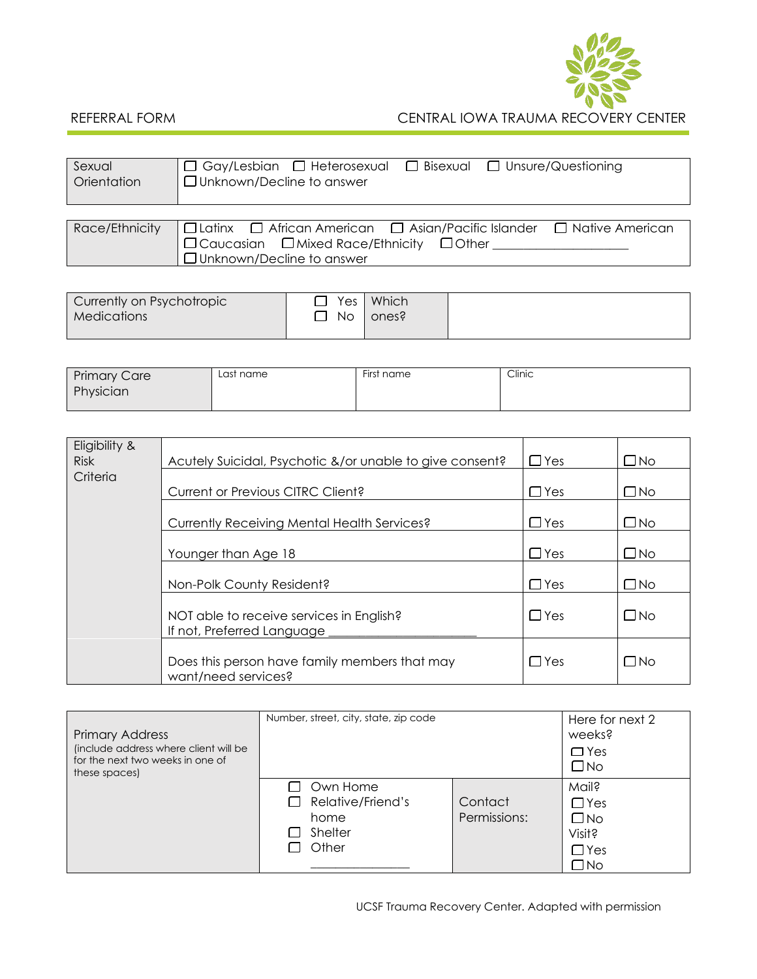

## REFERRAL FORM CENTRAL IOWA TRAUMA RECOVERY CENTER

| Sexual<br>Orientation | $\Box$ Gay/Lesbian $\Box$ Heterosexual $\Box$ Bisexual $\Box$ Unsure/Questioning<br>$\Box$ Unknown/Decline to answer |  |  |  |  |
|-----------------------|----------------------------------------------------------------------------------------------------------------------|--|--|--|--|
|                       |                                                                                                                      |  |  |  |  |
| Race/Ethnicity        | $\Box$ Latinx $\Box$ African American $\Box$ Asian/Pacific Islander $\Box$ Native American                           |  |  |  |  |
|                       | $\Box$ Caucasian $\Box$ Mixed Race/Ethnicity $\Box$ Other                                                            |  |  |  |  |

| JUnknown/Decline to answer |
|----------------------------|
|                            |
|                            |

| Currently on Psychotropic | $\Box$ Yes | <b>Which</b> |  |
|---------------------------|------------|--------------|--|
| <b>Medications</b>        | □ No       | ones?        |  |
|                           |            |              |  |

| <b>Primary Care</b> | Last name | First name | Clinic |
|---------------------|-----------|------------|--------|
| Physician           |           |            |        |
|                     |           |            |        |

| Eligibility &<br><b>Risk</b> | Acutely Suicidal, Psychotic &/or unable to give consent?               | $\Box$ Yes | □No          |
|------------------------------|------------------------------------------------------------------------|------------|--------------|
| Criteria                     | Current or Previous CITRC Client?                                      | $\Box$ Yes | $\square$ No |
|                              |                                                                        |            |              |
|                              | <b>Currently Receiving Mental Health Services?</b>                     | $\Box$ Yes | $\square$ No |
|                              | Younger than Age 18                                                    | $\Box$ Yes | $\square$ No |
|                              | Non-Polk County Resident?                                              | $\Box$ Yes | $\square$ No |
|                              | NOT able to receive services in English?<br>If not, Preferred Language | $\Box$ Yes | $\square$ No |
|                              | Does this person have family members that may<br>want/need services?   | $\Box$ Yes | $\square$ No |

| <b>Primary Address</b><br>(include address where client will be<br>for the next two weeks in one of<br>these spaces) | Number, street, city, state, zip code                                 | Here for next 2<br>weeks?<br>$\Box$ Yes<br>$\square$ No |                                                                             |
|----------------------------------------------------------------------------------------------------------------------|-----------------------------------------------------------------------|---------------------------------------------------------|-----------------------------------------------------------------------------|
|                                                                                                                      | Own Home<br>L.<br>Relative/Friend's<br>ſΙ<br>home<br>Shelter<br>Other | Contact<br>Permissions:                                 | <b>Mail?</b><br>$\Box$ Yes<br>$\square$ No<br>Visit?<br>$\Box$ Yes<br>_J No |

UCSF Trauma Recovery Center. Adapted with permission